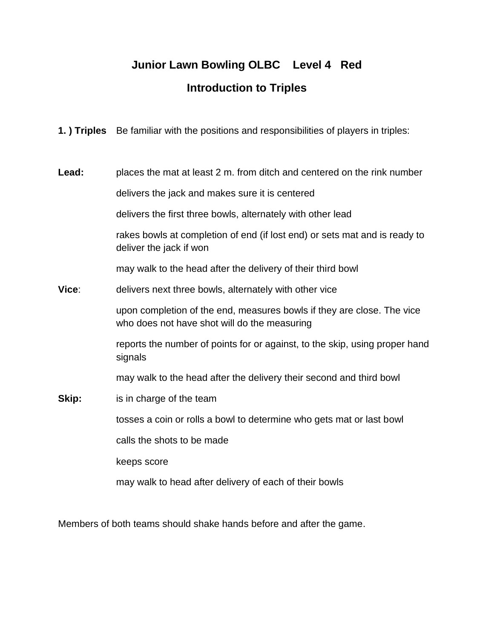## **Junior Lawn Bowling OLBC Level 4 Red Introduction to Triples**

**1. ) Triples** Be familiar with the positions and responsibilities of players in triples:

**Lead:** places the mat at least 2 m. from ditch and centered on the rink number delivers the jack and makes sure it is centered

delivers the first three bowls, alternately with other lead

rakes bowls at completion of end (if lost end) or sets mat and is ready to deliver the jack if won

may walk to the head after the delivery of their third bowl

**Vice**: delivers next three bowls, alternately with other vice

upon completion of the end, measures bowls if they are close. The vice who does not have shot will do the measuring

reports the number of points for or against, to the skip, using proper hand signals

may walk to the head after the delivery their second and third bowl

**Skip:** is in charge of the team

tosses a coin or rolls a bowl to determine who gets mat or last bowl

calls the shots to be made

keeps score

may walk to head after delivery of each of their bowls

Members of both teams should shake hands before and after the game.